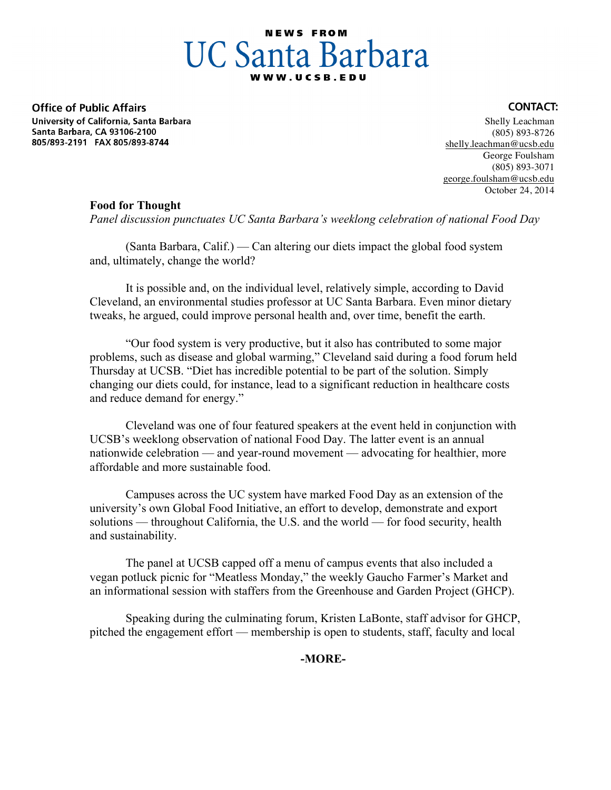# **NEWS FROM UC Santa Barbara**

**Office of Public Affairs** University of California, Santa Barbara Santa Barbara, CA 93106-2100 805/893-2191 FAX 805/893-8744

#### Shelly Leachman (805) 893-8726 shelly.leachman@ucsb.edu George Foulsham (805) 893-3071 george.foulsham@ucsb.edu October 24, 2014

**CONTACT:** 

# **Food for Thought**

*Panel discussion punctuates UC Santa Barbara's weeklong celebration of national Food Day*

(Santa Barbara, Calif.) — Can altering our diets impact the global food system and, ultimately, change the world?

It is possible and, on the individual level, relatively simple, according to David Cleveland, an environmental studies professor at UC Santa Barbara. Even minor dietary tweaks, he argued, could improve personal health and, over time, benefit the earth.

"Our food system is very productive, but it also has contributed to some major problems, such as disease and global warming," Cleveland said during a food forum held Thursday at UCSB. "Diet has incredible potential to be part of the solution. Simply changing our diets could, for instance, lead to a significant reduction in healthcare costs and reduce demand for energy."

Cleveland was one of four featured speakers at the event held in conjunction with UCSB's weeklong observation of national Food Day. The latter event is an annual nationwide celebration — and year-round movement — advocating for healthier, more affordable and more sustainable food.

Campuses across the UC system have marked Food Day as an extension of the university's own Global Food Initiative, an effort to develop, demonstrate and export solutions — throughout California, the U.S. and the world — for food security, health and sustainability.

The panel at UCSB capped off a menu of campus events that also included a vegan potluck picnic for "Meatless Monday," the weekly Gaucho Farmer's Market and an informational session with staffers from the Greenhouse and Garden Project (GHCP).

Speaking during the culminating forum, Kristen LaBonte, staff advisor for GHCP, pitched the engagement effort — membership is open to students, staff, faculty and local

**-MORE-**